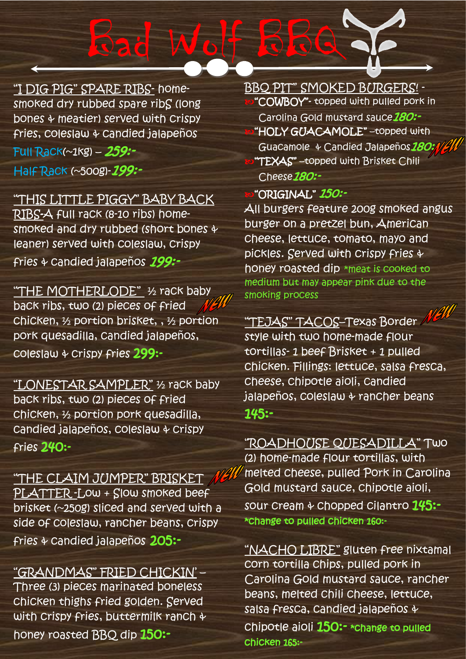"I DIG PIG" SPARE RIBS- homesmoked dry rubbed spare ribS (long bones & meatier) served with crispy fries, coleslaw & candied jalapeños

Full Rack(~1kg) – 259:-

Half Rack (~500g)-299:-

## "THIS LITTLE PIGGY" BABY BACK

RIBS-A full rack (8-10 ribs) homesmoked and dry rubbed (short bones & leaner) served with coleslaw, crispy fries & candied jalapeños 199:-

"THE MOTHERLODE" 1/2 rack baby back ribs, two (2) pieces of fried chicken, ½ portion brisket, , ½ portion pork quesadilla, candied jalapeños, coleslaw & crispy fries 299:-

"LONESTAR SAMPLER" ½ rack baby back ribs, two (2) pieces of fried chicken, ½ portion pork quesadilla, candied jalapeños, coleslaw & crispy fries 240:-

"THE CLAIM JUMPER" BRISKET PLATTER -Low + Slow smoked beef brisket (~250g) sliced and served with a side of coleslaw, rancher beans, crispy fries & candied jalapeños 205:-

"GRANDMAS" FRIED CHICKIN' – Three (3) pieces marinated boneless chicken thighs fried golden. Served with crispy fries, buttermilk ranch & honey roasted BBQ dip 150:-

BBQ PIT" SMOKED BURGERS! - "COWBOY"- topped with pulled pork in Carolina Gold mustard sauce 180:-"HOLY GUACAMOLE" –topped with Guacamole & Candied Jalapeños 180:1/ "TEXAS" –topped with Brisket Chili Cheese<sub>180</sub>:-

#### "ORIGINAL" 150:-

 $W_0$   $\rightarrow$   $8$   $8$ 

All burgers feature 200g smoked angus burger on a pretzel bun, American cheese, lettuce, tomato, mayo and pickles. Served with crispy fries & honey roasted dip \*meat is cooked to medium but may appear pink due to the smoking process

## "TEJAS" TACOS–Texas Border

style with two home-made flour tortillas- 1 beef Brisket + 1 pulled chicken. Fillings: lettuce, salsa fresca, cheese, chipotle aioli, candied jalapeños, coleslaw & rancher beans 145:-

"ROADHOUSE QUESADILLA" Two (2) home-made flour tortillas, with melted cheese, pulled Pork in Carolina Gold mustard sauce, chipotle aioli, sour cream & chopped cilantro 145:-\*change to pulled chicken 160:-

"NACHO LIBRE" gluten free nixtamal corn tortilla chips, pulled pork in Carolina Gold mustard sauce, rancher beans, melted chili cheese, lettuce, salsa fresca, candied jalapeños & chipotle aioli 150:- \*change to pulled chicken 165:-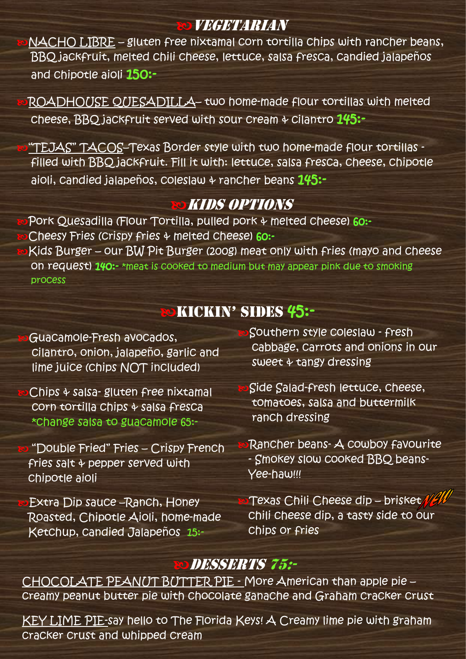## Vegetarian

NACHO LIBRE – gluten free nixtamal corn tortilla chips with rancher beans, BBQ jackfruit, melted chili cheese, lettuce, salsa fresca, candied jalapeños and chipotle aioli 150:-

ROADHOUSE QUESADILLA– two home-made flour tortillas with melted cheese, BBO jackfruit served with sour cream  $\div$  cilantro  $145$ :-

"TEJAS" TACOS–Texas Border style with two home-made flour tortillas filled with BBQ jackfruit. Fill it with: lettuce, salsa fresca, cheese, chipotle aioli, candied jalapeños, coleslaw  $\ast$  rancher beans  $145:-$ 

## Kids Options

Pork Quesadilla (Flour Tortilla, pulled pork & melted cheese) 60:-Cheesy Fries (crispy fries & melted cheese) 60:- Kids Burger – our BW Pit Burger (200g) meat only with fries (mayo and cheese On request) 140:- \*meat is cooked to medium but may appear pink due to smoking process

## KICKIN' SIDES 45:-

Guacamole-Fresh avocados, cilantro, onion, jalapeño, garlic and lime juice (chips NOT included)

Chips & salsa- gluten free nixtamal corn tortilla chips & salsa fresca \*change salsa to guacamole 65:-

 "Double Fried" Fries – Crispy French fries salt & pepper served with chipotle aioli

Extra Dip sauce –Ranch, Honey Roasted, Chipotle Aioli, home-made Ketchup, candied Jalapeños 15:-

Southern style coleslaw - fresh cabbage, carrots and onions in our sweet  $\phi$  tangy dressing

Side Salad-fresh lettuce, cheese, tomatoes, salsa and buttermilk ranch dressing

Rancher beans- A cowboy favourite - Smokey slow cooked BBQ beans-Yee-haw!!!

Texas Chili Cheese dip – brisket WAW chili cheese dip, a tasty side to our chips or fries

## Desserts 75:-

CHOCOLATE PEANUT BUTTER PIE - More American than apple pie – creamy peanut butter pie with chocolate ganache and Graham cracker crust

KEY LIME PIE-say hello to The Florida Keys! A Creamy lime pie with graham cracker crust and whipped cream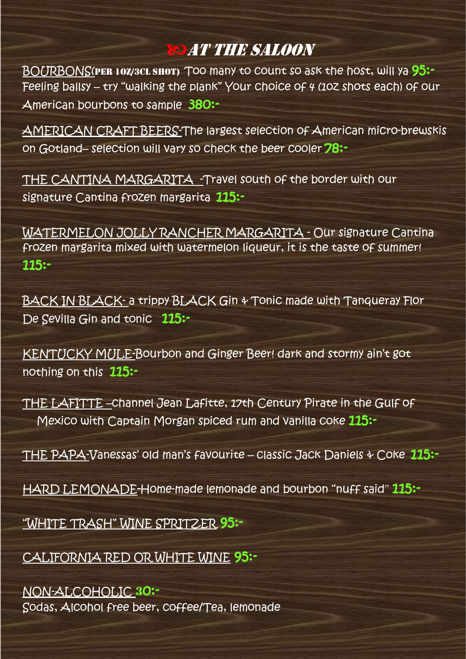## At the Saloon

BOURBONS(PER 10Z/3CL SHOT) TOO many to count so ask the host, will ya 95:-Feeling ballsy – try "walking the plank" Your choice of 4 (1oz shots each) of our American bourbons to sample 380:-

AMERICAN CRAFT BEERS-The largest selection of American micro-brewskis on Gotland– selection will vary so check the beer cooler 78:-

THE CANTINA MARGARITA -Travel south of the border with our signature Cantina frozen margarita 115:-

WATERMELON JOLLY RANCHER MARGARITA - Our signature Cantina frozen margarita mixed with watermelon liqueur, it is the taste of summer! 115:-

BACK IN BLACK- a trippy BLACK Gin & Tonic made with Tanqueray Flor De Sevilla Gin and tonic 115:-

KENTUCKY MULE-Bourbon and Ginger Beer! dark and stormy ain't got nothing on this 115:-

THE LAFITTE –channel Jean Lafitte, 17th Century Pirate in the Gulf of Mexico with Captain Morgan spiced rum and vanilla coke 115:-

THE PAPA-Vanessas' old man's favourite - classic Jack Daniels & Coke 115:-

HARD LEMONADE-Home-made lemonade and bourbon "nuff said" 115:-

"WHITE TRASH" WINE SPRITZER 95:-

CALIFORNIA RED OR WHITE WINE 95:-

#### NON-ALCOHOLIC 30:- Sodas, Alcohol free beer, coffee/Tea, lemonade